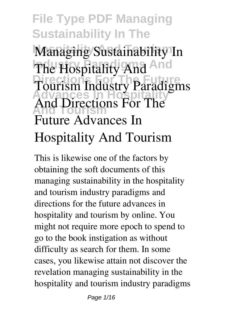**File Type PDF Managing Sustainability In The Hospitality And Tourism Managing Sustainability In The Hospitality And And Directions For The Future Advances In Hospitality And Tourism And Directions For The Tourism Industry Paradigms Future Advances In Hospitality And Tourism**

This is likewise one of the factors by obtaining the soft documents of this **managing sustainability in the hospitality and tourism industry paradigms and directions for the future advances in hospitality and tourism** by online. You might not require more epoch to spend to go to the book instigation as without difficulty as search for them. In some cases, you likewise attain not discover the revelation managing sustainability in the hospitality and tourism industry paradigms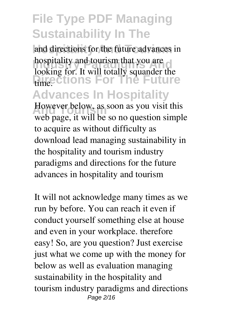and directions for the future advances in **Industry and tourism that you are Directions For The Future Advances In Hospitality However below, as soon as you visit this** looking for. It will totally squander the

web page, it will be so no question simple to acquire as without difficulty as download lead managing sustainability in the hospitality and tourism industry paradigms and directions for the future advances in hospitality and tourism

It will not acknowledge many times as we run by before. You can reach it even if conduct yourself something else at house and even in your workplace. therefore easy! So, are you question? Just exercise just what we come up with the money for below as well as evaluation **managing sustainability in the hospitality and tourism industry paradigms and directions** Page 2/16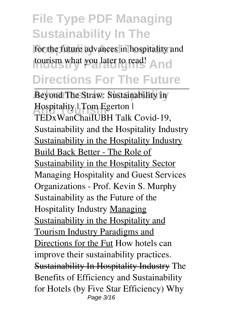for the future advances in hospitality and **tourism what you later to read!** And **Directions For The Future**

**Beyond The Straw: Sustainability in** Hospitality | Tom Egerton |<br>
TED-Wer Christ II In II Tall TEDxWanChai*IUBH Talk Covid-19, Sustainability and the Hospitality Industry* Sustainability in the Hospitality Industry Build Back Better - The Role of Sustainability in the Hospitality Sector **Managing Hospitality and Guest Services Organizations - Prof. Kevin S. Murphy** Sustainability as the Future of the Hospitality Industry Managing Sustainability in the Hospitality and Tourism Industry Paradigms and Directions for the Fut *How hotels can improve their sustainability practices.* Sustainability In Hospitality Industry **The Benefits of Efficiency and Sustainability for Hotels (by Five Star Efficiency) Why** Page 3/16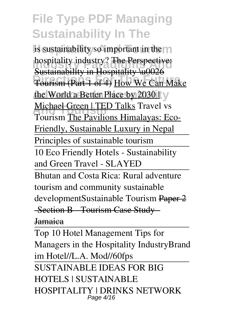is sustainability so important in the  $\eta$ **Industry?** The Perspective: **Directions For The Future** Tourism (Part 1 of 4) How We Can Make the World a Better Place by 2030 | y **Michael Green | TED Talks Travel vs**<br>Tourism The Doutlings Himelayees Fo Sustainability in Hospitality \u0026 *Tourism* The Pavilions Himalayas: Eco-Friendly, Sustainable Luxury in Nepal Principles of sustainable tourism 10 Eco Friendly Hotels - Sustainability and Green Travel - SLAYED Bhutan and Costa Rica: Rural adventure tourism and community sustainable development*Sustainable Tourism* Paper 2 -Section B Tourism Case Study Jamaica

Top 10 Hotel Management Tips for Managers in the Hospitality Industry*Brand im Hotel//L.A. Mod//60fps* SUSTAINABLE IDEAS FOR BIG HOTELS | SUSTAINABLE HOSPITALITY | DRINKS NETWORK Page 4/16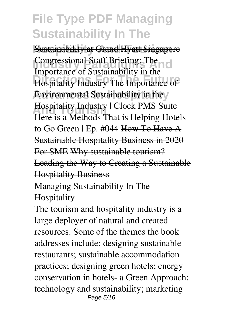**Sustainability at Grand Hyatt Singapore Industrianal Staff Briefing:** The **Directions For The Future** *Hospitality Industry The Importance of Environmental Sustainability in the* **And Tourism** *Hospitality Industry | Clock PMS Suite Congressional Staff Briefing: The Importance of Sustainability in the Here is a Methods That is Helping Hotels to Go Green | Ep. #044* How To Have A Sustainable Hospitality Business in 2020 For SME Why sustainable tourism? Leading the Way to Creating a Sustainable Hospitality Business

Managing Sustainability In The Hospitality

The tourism and hospitality industry is a large deployer of natural and created resources. Some of the themes the book addresses include: designing sustainable restaurants; sustainable accommodation practices; designing green hotels; energy conservation in hotels- a Green Approach; technology and sustainability; marketing Page 5/16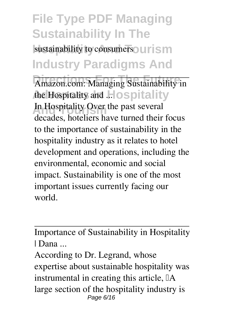sustainability to consumers<sup>o</sup> urism **Industry Paradigms And**

Amazon.com: Managing Sustainability in the Hospitality and ... lospitality In Hospitality Over the past several decades, hoteliers have turned their focus to the importance of sustainability in the hospitality industry as it relates to hotel development and operations, including the environmental, economic and social impact. Sustainability is one of the most important issues currently facing our world.

Importance of Sustainability in Hospitality | Dana ...

According to Dr. Legrand, whose expertise about sustainable hospitality was instrumental in creating this article,  $\mathbb{I}$ A large section of the hospitality industry is Page 6/16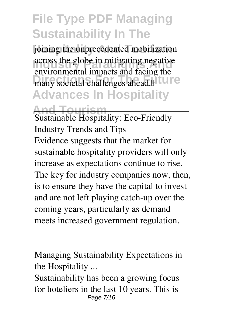joining the unprecedented mobilization **Industrian Andrew Andrew Andrew Andrew Andrew Andrew Andrew Andrew Andrew Andrew Andrew Andrew Andrew Andrew Andrew Andrew Andrew Andrew Andrew Andrew Andrew Andrew Andrew Andrew Andrew Andrew Andrew Andrew Andrew Andrew** many societal challenges ahead.<sup>"</sup> **Advances In Hospitality** environmental impacts and facing the

**And Tourism**

Sustainable Hospitality: Eco-Friendly Industry Trends and Tips Evidence suggests that the market for sustainable hospitality providers will only increase as expectations continue to rise. The key for industry companies now, then, is to ensure they have the capital to invest and are not left playing catch-up over the coming years, particularly as demand meets increased government regulation.

Managing Sustainability Expectations in the Hospitality ...

Sustainability has been a growing focus for hoteliers in the last 10 years. This is Page 7/16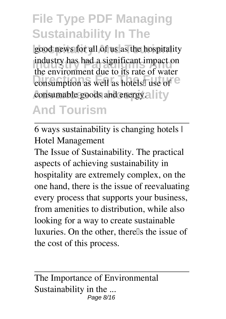good news for all of us as the hospitality **Industry has had a significant impact on Discussions For The Future** Consumption as well as hotels<sup>[1]</sup> use of <sup>12</sup> consumable goods and energy. **All it y** the environment due to its rate of water

#### **And Tourism**

6 ways sustainability is changing hotels | Hotel Management

The Issue of Sustainability. The practical aspects of achieving sustainability in hospitality are extremely complex, on the one hand, there is the issue of reevaluating every process that supports your business, from amenities to distribution, while also looking for a way to create sustainable luxuries. On the other, there<sup>lls</sup> the issue of the cost of this process.

The Importance of Environmental Sustainability in the ... Page 8/16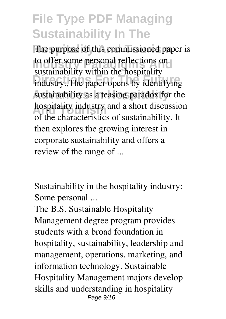The purpose of this commissioned paper is **Industry Paradigms And reflections on**<br>the provision of the provision of the provision of the provision of the provision of the provision of the provision of the provision of the provision of the provision of the provisio **Distantantly** Frame are nonprimedsustainability as a teasing paradox for the hospitality industry and a short discussion<br> **A** the shore-statistic of autoinshility It sustainability within the hospitality of the characteristics of sustainability. It then explores the growing interest in corporate sustainability and offers a review of the range of ...

Sustainability in the hospitality industry: Some personal ...

The B.S. Sustainable Hospitality Management degree program provides students with a broad foundation in hospitality, sustainability, leadership and management, operations, marketing, and information technology. Sustainable Hospitality Management majors develop skills and understanding in hospitality Page 9/16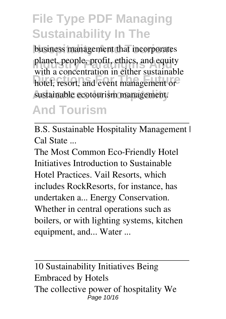business management that incorporates planet, people, profit, ethics, and equity hotel, resort, and event management or sustainable ecotourism management. with a concentration in either sustainable

#### **And Tourism**

B.S. Sustainable Hospitality Management | Cal State ...

The Most Common Eco-Friendly Hotel Initiatives Introduction to Sustainable Hotel Practices. Vail Resorts, which includes RockResorts, for instance, has undertaken a... Energy Conservation. Whether in central operations such as boilers, or with lighting systems, kitchen equipment, and... Water ...

10 Sustainability Initiatives Being Embraced by Hotels The collective power of hospitality We Page 10/16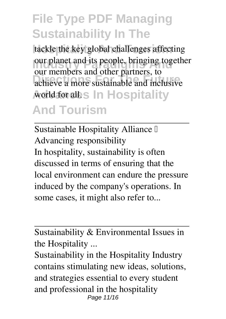tackle the key global challenges affecting **Industry Planet and its people, bringing together Directions For The Future** achieve a more sustainable and inclusive world for all.s In Hospitality **And Tourism** our members and other partners, to

Sustainable Hospitality Alliance I Advancing responsibility In hospitality, sustainability is often discussed in terms of ensuring that the local environment can endure the pressure induced by the company's operations. In some cases, it might also refer to...

Sustainability & Environmental Issues in the Hospitality ...

Sustainability in the Hospitality Industry contains stimulating new ideas, solutions, and strategies essential to every student and professional in the hospitality Page 11/16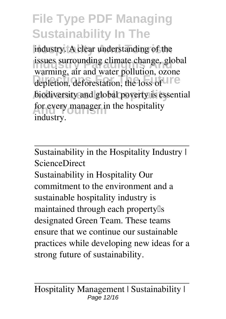industry. A clear understanding of the **Industrian Surrounding climate change, global** depletion, deforestation, the loss of **The Future** biodiversity and global poverty is essential for every manager in the hospitality warming, air and water pollution, ozone industry.

Sustainability in the Hospitality Industry | ScienceDirect

Sustainability in Hospitality Our commitment to the environment and a sustainable hospitality industry is maintained through each property<sup>[]</sup>s designated Green Team. These teams ensure that we continue our sustainable practices while developing new ideas for a strong future of sustainability.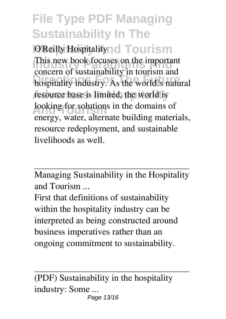**O'Reilly Hospitality And Tourism Inis new book focuses on the important parameter Direction of Bustandsonly in collision and** hospitality industry. As the worldlls natural resource base is limited, the world is looking for solutions in the domains of This new book focuses on the important concern of sustainability in tourism and energy, water, alternate building materials, resource redeployment, and sustainable livelihoods as well.

Managing Sustainability in the Hospitality and Tourism ...

First that definitions of sustainability within the hospitality industry can be interpreted as being constructed around business imperatives rather than an ongoing commitment to sustainability.

(PDF) Sustainability in the hospitality industry: Some ... Page 13/16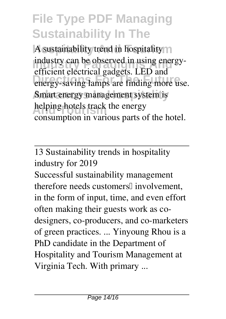A sustainability trend in hospitality m **Industry can be observed in using energy-Directions For The Future** energy-saving lamps are finding more use. Smart energy management system is helping hotels track the energy efficient electrical gadgets. LED and consumption in various parts of the hotel.

13 Sustainability trends in hospitality industry for 2019

Successful sustainability management therefore needs customers<sup>[]</sup> involvement, in the form of input, time, and even effort often making their guests work as codesigners, co-producers, and co-marketers of green practices. ... Yinyoung Rhou is a PhD candidate in the Department of Hospitality and Tourism Management at Virginia Tech. With primary ...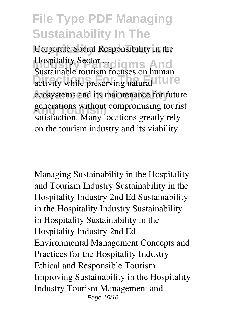Corporate Social Responsibility in the **Industry Sector ... aligns And Distantions Found Founds on The Future** ecosystems and its maintenance for future generations without compromising tourist<br>
actions and tour leasting greatly rely Sustainable tourism focuses on human satisfaction. Many locations greatly rely on the tourism industry and its viability.

Managing Sustainability in the Hospitality and Tourism Industry Sustainability in the Hospitality Industry 2nd Ed Sustainability in the Hospitality Industry Sustainability in Hospitality Sustainability in the Hospitality Industry 2nd Ed Environmental Management Concepts and Practices for the Hospitality Industry Ethical and Responsible Tourism Improving Sustainability in the Hospitality Industry Tourism Management and Page 15/16